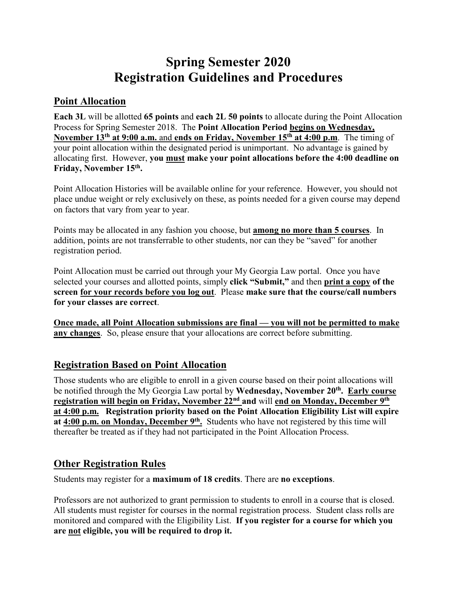# **Spring Semester 2020 Registration Guidelines and Procedures**

## **Point Allocation**

**Each 3L** will be allotted **65 points** and **each 2L 50 points** to allocate during the Point Allocation Process for Spring Semester 2018. The **Point Allocation Period begins on Wednesday, November 13th at 9:00 a.m.** and **ends on Friday, November 15th at 4:00 p.m**. The timing of your point allocation within the designated period is unimportant. No advantage is gained by allocating first. However, **you must make your point allocations before the 4:00 deadline on Friday, November 15th.**

Point Allocation Histories will be available online for your reference. However, you should not place undue weight or rely exclusively on these, as points needed for a given course may depend on factors that vary from year to year.

Points may be allocated in any fashion you choose, but **among no more than 5 courses**. In addition, points are not transferrable to other students, nor can they be "saved" for another registration period.

Point Allocation must be carried out through your My Georgia Law portal. Once you have selected your courses and allotted points, simply **click "Submit,"** and then **print a copy of the screen for your records before you log out**. Please **make sure that the course/call numbers for your classes are correct**.

**Once made, all Point Allocation submissions are final — you will not be permitted to make any changes**. So, please ensure that your allocations are correct before submitting.

# **Registration Based on Point Allocation**

Those students who are eligible to enroll in a given course based on their point allocations will be notified through the My Georgia Law portal by **Wednesday, November 20th. Early course registration will begin on Friday, November 22nd and** will **end on Monday, December 9th at 4:00 p.m. Registration priority based on the Point Allocation Eligibility List will expire at 4:00 p.m. on Monday, December 9th.** Students who have not registered by this time will thereafter be treated as if they had not participated in the Point Allocation Process.

### **Other Registration Rules**

Students may register for a **maximum of 18 credits**. There are **no exceptions**.

Professors are not authorized to grant permission to students to enroll in a course that is closed. All students must register for courses in the normal registration process. Student class rolls are monitored and compared with the Eligibility List. **If you register for a course for which you are not eligible, you will be required to drop it.**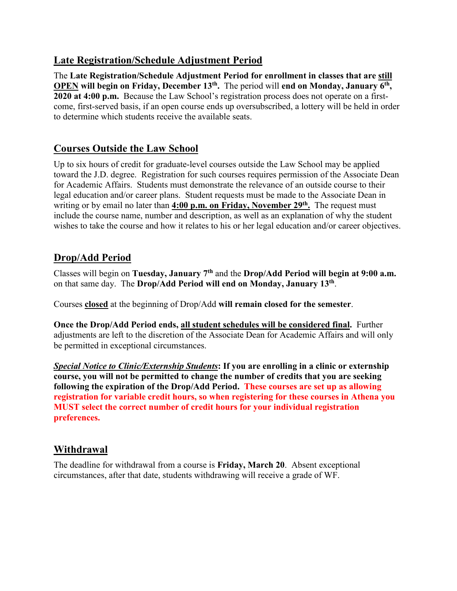### **Late Registration/Schedule Adjustment Period**

The **Late Registration/Schedule Adjustment Period for enrollment in classes that are still OPEN will begin on Friday, December 13th.** The period will **end on Monday, January 6th, 2020 at 4:00 p.m.** Because the Law School's registration process does not operate on a firstcome, first-served basis, if an open course ends up oversubscribed, a lottery will be held in order to determine which students receive the available seats.

# **Courses Outside the Law School**

Up to six hours of credit for graduate-level courses outside the Law School may be applied toward the J.D. degree. Registration for such courses requires permission of the Associate Dean for Academic Affairs. Students must demonstrate the relevance of an outside course to their legal education and/or career plans. Student requests must be made to the Associate Dean in writing or by email no later than **4:00 p.m. on Friday, November 29th.** The request must include the course name, number and description, as well as an explanation of why the student wishes to take the course and how it relates to his or her legal education and/or career objectives.

# **Drop/Add Period**

Classes will begin on **Tuesday, January 7th** and the **Drop/Add Period will begin at 9:00 a.m.** on that same day. The **Drop/Add Period will end on Monday, January 13th**.

Courses **closed** at the beginning of Drop/Add **will remain closed for the semester**.

**Once the Drop/Add Period ends, all student schedules will be considered final.** Further adjustments are left to the discretion of the Associate Dean for Academic Affairs and will only be permitted in exceptional circumstances.

*Special Notice to Clinic/Externship Students***: If you are enrolling in a clinic or externship course, you will not be permitted to change the number of credits that you are seeking following the expiration of the Drop/Add Period. These courses are set up as allowing registration for variable credit hours, so when registering for these courses in Athena you MUST select the correct number of credit hours for your individual registration preferences.**

### **Withdrawal**

The deadline for withdrawal from a course is **Friday, March 20**. Absent exceptional circumstances, after that date, students withdrawing will receive a grade of WF.